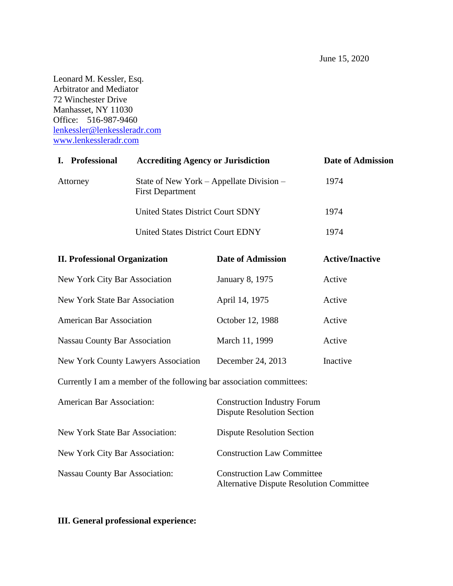Leonard M. Kessler, Esq. Arbitrator and Mediator 72 Winchester Drive Manhasset, NY 11030 Office: 516-987-9460 [lenkessler@lenkessleradr.com](mailto:lenkessler@lenkessleradr.com) [www.lenkessleradr.com](http://www.lenkessleradr.com/)

| I. Professional | <b>Accrediting Agency or Jurisdiction</b>                           | Date of Admission |
|-----------------|---------------------------------------------------------------------|-------------------|
| Attorney        | State of New York – Appellate Division –<br><b>First Department</b> | 1974              |
|                 | <b>United States District Court SDNY</b>                            | 1974              |
|                 | <b>United States District Court EDNY</b>                            | 1974              |
|                 |                                                                     |                   |

| <b>II. Professional Organization</b> | <b>Date of Admission</b> | <b>Active/Inactive</b> |
|--------------------------------------|--------------------------|------------------------|
| New York City Bar Association        | January 8, 1975          | Active                 |
| New York State Bar Association       | April 14, 1975           | Active                 |
| <b>American Bar Association</b>      | October 12, 1988         | Active                 |
| <b>Nassau County Bar Association</b> | March 11, 1999           | Active                 |
| New York County Lawyers Association  | December 24, 2013        | Inactive               |

Currently I am a member of the following bar association committees:

| <b>American Bar Association:</b>      | <b>Construction Industry Forum</b><br><b>Dispute Resolution Section</b>              |
|---------------------------------------|--------------------------------------------------------------------------------------|
| New York State Bar Association:       | <b>Dispute Resolution Section</b>                                                    |
| New York City Bar Association:        | <b>Construction Law Committee</b>                                                    |
| <b>Nassau County Bar Association:</b> | <b>Construction Law Committee</b><br><b>Alternative Dispute Resolution Committee</b> |

## **III. General professional experience:**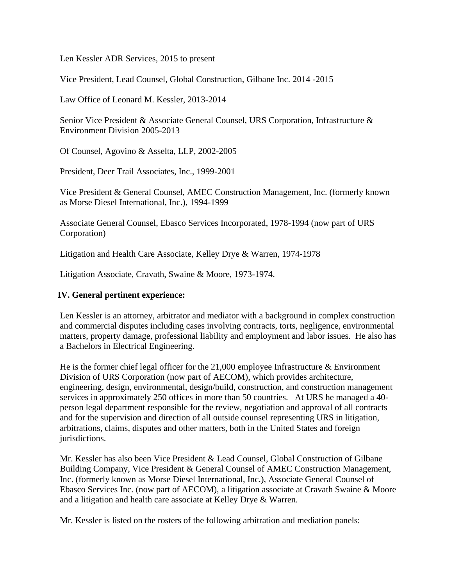Len Kessler ADR Services, 2015 to present

Vice President, Lead Counsel, Global Construction, Gilbane Inc. 2014 -2015

Law Office of Leonard M. Kessler, 2013-2014

Senior Vice President & Associate General Counsel, URS Corporation, Infrastructure & Environment Division 2005-2013

Of Counsel, Agovino & Asselta, LLP, 2002-2005

President, Deer Trail Associates, Inc., 1999-2001

Vice President & General Counsel, AMEC Construction Management, Inc. (formerly known as Morse Diesel International, Inc.), 1994-1999

Associate General Counsel, Ebasco Services Incorporated, 1978-1994 (now part of URS Corporation)

Litigation and Health Care Associate, Kelley Drye & Warren, 1974-1978

Litigation Associate, Cravath, Swaine & Moore, 1973-1974.

#### **IV. General pertinent experience:**

Len Kessler is an attorney, arbitrator and mediator with a background in complex construction and commercial disputes including cases involving contracts, torts, negligence, environmental matters, property damage, professional liability and employment and labor issues. He also has a Bachelors in Electrical Engineering.

He is the former chief legal officer for the 21,000 employee Infrastructure & Environment Division of URS Corporation (now part of AECOM), which provides architecture, engineering, design, environmental, design/build, construction, and construction management services in approximately 250 offices in more than 50 countries. At URS he managed a 40 person legal department responsible for the review, negotiation and approval of all contracts and for the supervision and direction of all outside counsel representing URS in litigation, arbitrations, claims, disputes and other matters, both in the United States and foreign jurisdictions.

Mr. Kessler has also been Vice President & Lead Counsel, Global Construction of Gilbane Building Company, Vice President & General Counsel of AMEC Construction Management, Inc. (formerly known as Morse Diesel International, Inc.), Associate General Counsel of Ebasco Services Inc. (now part of AECOM), a litigation associate at Cravath Swaine & Moore and a litigation and health care associate at Kelley Drye & Warren.

Mr. Kessler is listed on the rosters of the following arbitration and mediation panels: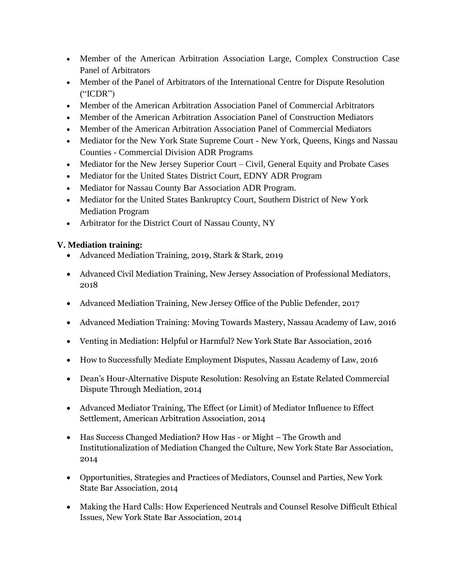- Member of the American Arbitration Association Large, Complex Construction Case Panel of Arbitrators
- Member of the Panel of Arbitrators of the International Centre for Dispute Resolution ("ICDR")
- Member of the American Arbitration Association Panel of Commercial Arbitrators
- Member of the American Arbitration Association Panel of Construction Mediators
- Member of the American Arbitration Association Panel of Commercial Mediators
- Mediator for the New York State Supreme Court New York, Queens, Kings and Nassau Counties - Commercial Division ADR Programs
- Mediator for the New Jersey Superior Court Civil, General Equity and Probate Cases
- Mediator for the United States District Court, EDNY ADR Program
- Mediator for Nassau County Bar Association ADR Program.
- Mediator for the United States Bankruptcy Court, Southern District of New York Mediation Program
- Arbitrator for the District Court of Nassau County, NY

# **V. Mediation training:**

- Advanced Mediation Training, 2019, Stark & Stark, 2019
- Advanced Civil Mediation Training, New Jersey Association of Professional Mediators, 2018
- Advanced Mediation Training, New Jersey Office of the Public Defender, 2017
- Advanced Mediation Training: Moving Towards Mastery, Nassau Academy of Law, 2016
- Venting in Mediation: Helpful or Harmful? New York State Bar Association, 2016
- How to Successfully Mediate Employment Disputes, Nassau Academy of Law, 2016
- Dean's Hour-Alternative Dispute Resolution: Resolving an Estate Related Commercial Dispute Through Mediation, 2014
- Advanced Mediator Training, The Effect (or Limit) of Mediator Influence to Effect Settlement, American Arbitration Association, 2014
- Has Success Changed Mediation? How Has or Might The Growth and Institutionalization of Mediation Changed the Culture, New York State Bar Association, 2014
- Opportunities, Strategies and Practices of Mediators, Counsel and Parties, New York State Bar Association, 2014
- Making the Hard Calls: How Experienced Neutrals and Counsel Resolve Difficult Ethical Issues, New York State Bar Association, 2014